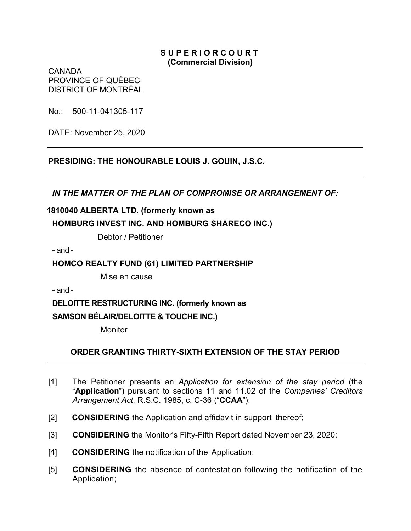### **S U P E R I O R C O U R T (Commercial Division)**

CANADA PROVINCE OF QUÉBEC DISTRICT OF MONTRÉAL

No.: 500-11-041305-117

DATE: November 25, 2020

**PRESIDING: THE HONOURABLE LOUIS J. GOUIN, J.S.C.**

*IN THE MATTER OF THE PLAN OF COMPROMISE OR ARRANGEMENT OF:*

## **1810040 ALBERTA LTD. (formerly known as**

## **HOMBURG INVEST INC. AND HOMBURG SHARECO INC.)**

Debtor / Petitioner

- and -

### **HOMCO REALTY FUND (61) LIMITED PARTNERSHIP**

Mise en cause

- and -

**DELOITTE RESTRUCTURING INC. (formerly known as** 

# **SAMSON BÉLAIR/DELOITTE & TOUCHE INC.)**

**Monitor** 

## **ORDER GRANTING THIRTY-SIXTH EXTENSION OF THE STAY PERIOD**

- [1] The Petitioner presents an *Application for extension of the stay period* (the "**Application**") pursuant to sections 11 and 11.02 of the *Companies' Creditors Arrangement Act*, R.S.C. 1985, c. C-36 ("**CCAA**");
- [2] **CONSIDERING** the Application and affidavit in support thereof;
- [3] **CONSIDERING** the Monitor's Fifty-Fifth Report dated November 23, 2020;
- [4] **CONSIDERING** the notification of the Application;
- [5] **CONSIDERING** the absence of contestation following the notification of the Application;